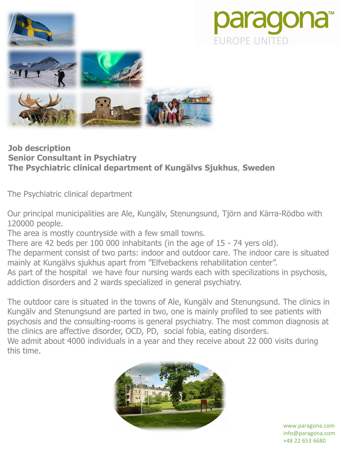

## **Job description Senior Consultant in Psychiatry The Psychiatric clinical department of Kungälvs Sjukhus**, **Sweden**

The Psychiatric clinical department

Our principal municipalities are Ale, Kungälv, Stenungsund, Tjörn and Kärra-Rödbo with 120000 people.

**JROPE UNITED** 

aragor

The area is mostly countryside with a few small towns.

There are 42 beds per 100 000 inhabitants (in the age of 15 - 74 yers old).

The deparment consist of two parts: indoor and outdoor care. The indoor care is situated mainly at Kungälvs sjukhus apart from "Elfvebackens rehabilitation center".

As part of the hospital we have four nursing wards each with specilizations in psychosis, addiction disorders and 2 wards specialized in general psychiatry.

The outdoor care is situated in the towns of Ale, Kungälv and Stenungsund. The clinics in Kungälv and Stenungsund are parted in two, one is mainly profiled to see patients with psychosis and the consulting-rooms is general psychiatry. The most common diagnosis at the clinics are affective disorder, OCD, PD, social fobia, eating disorders. We admit about 4000 individuals in a year and they receive about 22 000 visits during this time.



www.paragona.com info@paragona.com +48 22 653 6680